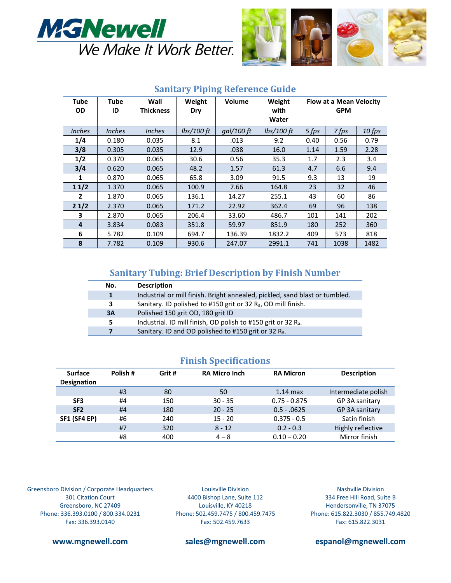



| <b>Tube</b><br><b>OD</b> | <b>Tube</b><br>ID | Wall<br><b>Thickness</b> | Weight<br>Dry | Volume     | Weight<br>with<br>Water | <b>Flow at a Mean Velocity</b><br><b>GPM</b> |       |        |
|--------------------------|-------------------|--------------------------|---------------|------------|-------------------------|----------------------------------------------|-------|--------|
| <b>Inches</b>            | <b>Inches</b>     | <b>Inches</b>            | $lbs/100$ ft  | qal/100 ft | $lbs/100$ ft            | 5 fps                                        | 7 fps | 10 fps |
| 1/4                      | 0.180             | 0.035                    | 8.1           | .013       | 9.2                     | 0.40                                         | 0.56  | 0.79   |
| 3/8                      | 0.305             | 0.035                    | 12.9          | .038       | 16.0                    | 1.14                                         | 1.59  | 2.28   |
| 1/2                      | 0.370             | 0.065                    | 30.6          | 0.56       | 35.3                    | 1.7                                          | 2.3   | 3.4    |
| 3/4                      | 0.620             | 0.065                    | 48.2          | 1.57       | 61.3                    | 4.7                                          | 6.6   | 9.4    |
| 1                        | 0.870             | 0.065                    | 65.8          | 3.09       | 91.5                    | 9.3                                          | 13    | 19     |
| 11/2                     | 1.370             | 0.065                    | 100.9         | 7.66       | 164.8                   | 23                                           | 32    | 46     |
| $\mathbf{2}$             | 1.870             | 0.065                    | 136.1         | 14.27      | 255.1                   | 43                                           | 60    | 86     |
| 21/2                     | 2.370             | 0.065                    | 171.2         | 22.92      | 362.4                   | 69                                           | 96    | 138    |
| 3                        | 2.870             | 0.065                    | 206.4         | 33.60      | 486.7                   | 101                                          | 141   | 202    |
| 4                        | 3.834             | 0.083                    | 351.8         | 59.97      | 851.9                   | 180                                          | 252   | 360    |
| 6                        | 5.782             | 0.109                    | 694.7         | 136.39     | 1832.2                  | 409                                          | 573   | 818    |
| 8                        | 7.782             | 0.109                    | 930.6         | 247.07     | 2991.1                  | 741                                          | 1038  | 1482   |

### **Sanitary Piping Reference Guide**

## **Sanitary Tubing: Brief Description by Finish Number**

| No. | <b>Description</b>                                                          |
|-----|-----------------------------------------------------------------------------|
|     | Industrial or mill finish. Bright annealed, pickled, sand blast or tumbled. |
| 3.  | Sanitary. ID polished to #150 grit or 32 R <sub>a</sub> , OD mill finish.   |
| 3A  | Polished 150 grit OD, 180 grit ID                                           |
| 5.  | Industrial. ID mill finish, OD polish to #150 grit or 32 R <sub>a</sub> .   |
|     | Sanitary. ID and OD polished to #150 grit or 32 $R_a$ .                     |

### **Finish Specifications**

| <b>Surface</b><br><b>Designation</b> | Polish#<br>Grit# |     | <b>RA Micro Inch</b> | <b>RA Micron</b> | <b>Description</b>  |  |
|--------------------------------------|------------------|-----|----------------------|------------------|---------------------|--|
|                                      | #3               | 80  | 50                   | $1.14$ max       | Intermediate polish |  |
| SF <sub>3</sub>                      | #4               | 150 | $30 - 35$            | $0.75 - 0.875$   | GP 3A sanitary      |  |
| SF <sub>2</sub>                      | #4               | 180 | $20 - 25$            | $0.5 - 0.0625$   | GP 3A sanitary      |  |
| <b>SF1 (SF4 EP)</b>                  | #6               | 240 | $15 - 20$            | $0.375 - 0.5$    | Satin finish        |  |
|                                      | #7               | 320 | $8 - 12$             | $0.2 - 0.3$      | Highly reflective   |  |
|                                      | #8               | 400 | $4 - 8$              | $0.10 - 0.20$    | Mirror finish       |  |

Greensboro Division / Corporate Headquarters 301 Citation Court Greensboro, NC 27409 Phone: 336.393.0100 / 800.334.0231 Fax: 336.393.0140

Louisville Division 4400 Bishop Lane, Suite 112 Louisville, KY 40218 Phone: 502.459.7475 / 800.459.7475 Fax: 502.459.7633

Nashville Division 334 Free Hill Road, Suite B Hendersonville, TN 37075 Phone: 615.822.3030 / 855.749.4820 Fax: 615.822.3031

**www.mgnewell.com sales@mgnewell.com espanol@mgnewell.com**